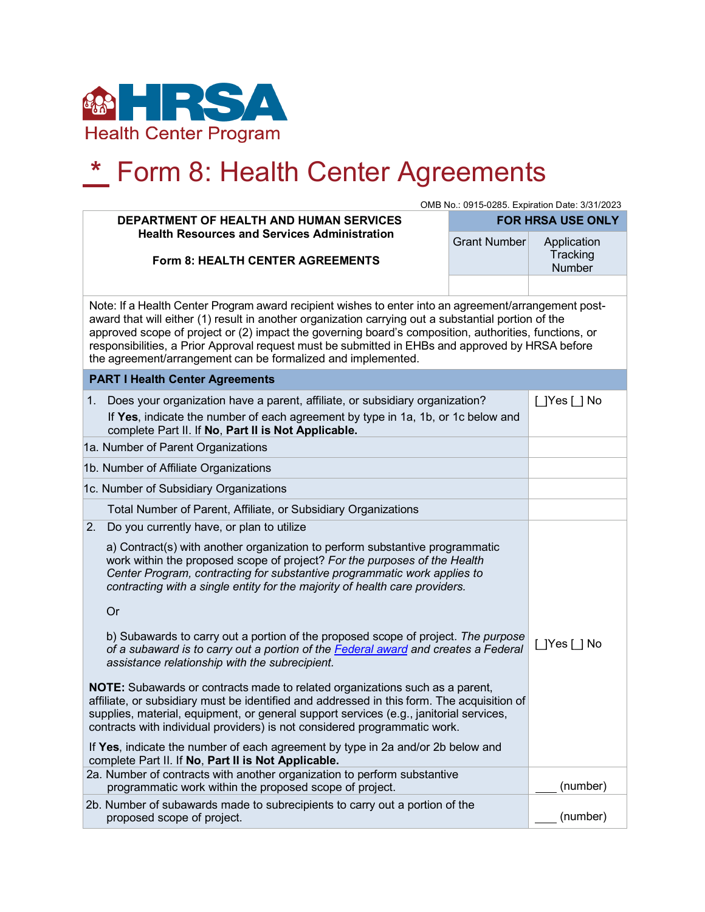

## **\*** Form 8: Health Center Agreements

|                                                                                                                                                                                                                                                                                                                                                                                                                                                                                          | OMB No.: 0915-0285. Expiration Date: 3/31/2023 |                         |  |
|------------------------------------------------------------------------------------------------------------------------------------------------------------------------------------------------------------------------------------------------------------------------------------------------------------------------------------------------------------------------------------------------------------------------------------------------------------------------------------------|------------------------------------------------|-------------------------|--|
| DEPARTMENT OF HEALTH AND HUMAN SERVICES<br><b>Health Resources and Services Administration</b>                                                                                                                                                                                                                                                                                                                                                                                           | <b>FOR HRSA USE ONLY</b>                       |                         |  |
|                                                                                                                                                                                                                                                                                                                                                                                                                                                                                          | <b>Grant Number</b>                            | Application<br>Tracking |  |
| <b>Form 8: HEALTH CENTER AGREEMENTS</b>                                                                                                                                                                                                                                                                                                                                                                                                                                                  |                                                | <b>Number</b>           |  |
|                                                                                                                                                                                                                                                                                                                                                                                                                                                                                          |                                                |                         |  |
| Note: If a Health Center Program award recipient wishes to enter into an agreement/arrangement post-<br>award that will either (1) result in another organization carrying out a substantial portion of the<br>approved scope of project or (2) impact the governing board's composition, authorities, functions, or<br>responsibilities, a Prior Approval request must be submitted in EHBs and approved by HRSA before<br>the agreement/arrangement can be formalized and implemented. |                                                |                         |  |
| <b>PART I Health Center Agreements</b>                                                                                                                                                                                                                                                                                                                                                                                                                                                   |                                                |                         |  |
| Does your organization have a parent, affiliate, or subsidiary organization?<br>1.                                                                                                                                                                                                                                                                                                                                                                                                       |                                                | $\Box$ Yes $\Box$ No    |  |
| If Yes, indicate the number of each agreement by type in 1a, 1b, or 1c below and<br>complete Part II. If No, Part II is Not Applicable.                                                                                                                                                                                                                                                                                                                                                  |                                                |                         |  |
| 1a. Number of Parent Organizations                                                                                                                                                                                                                                                                                                                                                                                                                                                       |                                                |                         |  |
| 1b. Number of Affiliate Organizations                                                                                                                                                                                                                                                                                                                                                                                                                                                    |                                                |                         |  |
| 1c. Number of Subsidiary Organizations                                                                                                                                                                                                                                                                                                                                                                                                                                                   |                                                |                         |  |
| Total Number of Parent, Affiliate, or Subsidiary Organizations                                                                                                                                                                                                                                                                                                                                                                                                                           |                                                |                         |  |
| Do you currently have, or plan to utilize<br>2.                                                                                                                                                                                                                                                                                                                                                                                                                                          |                                                |                         |  |
| a) Contract(s) with another organization to perform substantive programmatic<br>work within the proposed scope of project? For the purposes of the Health<br>Center Program, contracting for substantive programmatic work applies to<br>contracting with a single entity for the majority of health care providers.                                                                                                                                                                     |                                                |                         |  |
| Or                                                                                                                                                                                                                                                                                                                                                                                                                                                                                       |                                                |                         |  |
| b) Subawards to carry out a portion of the proposed scope of project. The purpose<br>of a subaward is to carry out a portion of the Federal award and creates a Federal<br>assistance relationship with the subrecipient.                                                                                                                                                                                                                                                                |                                                | [ ]Yes [ ] No           |  |
| <b>NOTE:</b> Subawards or contracts made to related organizations such as a parent,<br>affiliate, or subsidiary must be identified and addressed in this form. The acquisition of<br>supplies, material, equipment, or general support services (e.g., janitorial services,<br>contracts with individual providers) is not considered programmatic work.                                                                                                                                 |                                                |                         |  |
| If Yes, indicate the number of each agreement by type in 2a and/or 2b below and<br>complete Part II. If No, Part II is Not Applicable.                                                                                                                                                                                                                                                                                                                                                   |                                                |                         |  |
| 2a. Number of contracts with another organization to perform substantive<br>programmatic work within the proposed scope of project.                                                                                                                                                                                                                                                                                                                                                      |                                                | (number)                |  |
| 2b. Number of subawards made to subrecipients to carry out a portion of the<br>proposed scope of project.                                                                                                                                                                                                                                                                                                                                                                                |                                                | (number)                |  |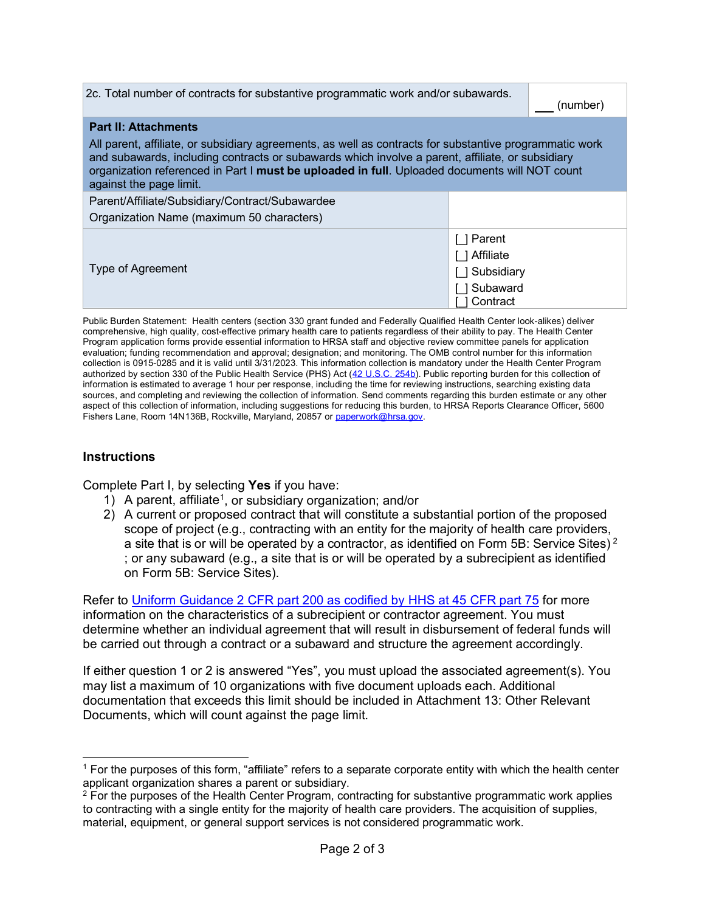| 2c. Total number of contracts for substantive programmatic work and/or subawards.                                                                                                                                                                                                                                                                                      |                                                               | (number) |  |
|------------------------------------------------------------------------------------------------------------------------------------------------------------------------------------------------------------------------------------------------------------------------------------------------------------------------------------------------------------------------|---------------------------------------------------------------|----------|--|
| <b>Part II: Attachments</b><br>All parent, affiliate, or subsidiary agreements, as well as contracts for substantive programmatic work<br>and subawards, including contracts or subawards which involve a parent, affiliate, or subsidiary<br>organization referenced in Part I must be uploaded in full. Uploaded documents will NOT count<br>against the page limit. |                                                               |          |  |
| Parent/Affiliate/Subsidiary/Contract/Subawardee<br>Organization Name (maximum 50 characters)                                                                                                                                                                                                                                                                           |                                                               |          |  |
| Type of Agreement                                                                                                                                                                                                                                                                                                                                                      | 1 Parent<br>1 Affiliate<br>Subsidiary<br>Subaward<br>Contract |          |  |

Public Burden Statement: Health centers (section 330 grant funded and Federally Qualified Health Center look-alikes) deliver comprehensive, high quality, cost-effective primary health care to patients regardless of their ability to pay. The Health Center Program application forms provide essential information to HRSA staff and objective review committee panels for application evaluation; funding recommendation and approval; designation; and monitoring. The OMB control number for this information collection is 0915-0285 and it is valid until 3/31/2023. This information collection is mandatory under the Health Center Program authorized by section 330 of the Public Health Service (PHS) Act [\(42 U.S.C. 254b\)](http://uscode.house.gov/view.xhtml?req=granuleid:USC-prelim-title42-section254b&num=0&edition=prelim). Public reporting burden for this collection of information is estimated to average 1 hour per response, including the time for reviewing instructions, searching existing data sources, and completing and reviewing the collection of information. Send comments regarding this burden estimate or any other aspect of this collection of information, including suggestions for reducing this burden, to HRSA Reports Clearance Officer, 5600 Fishers Lane, Room 14N136B, Rockville, Maryland, 20857 o[r paperwork@hrsa.gov.](mailto:paperwork@hrsa.gov)

## **Instructions**

Complete Part I, by selecting **Yes** if you have:

- [1](#page-1-0)) A parent, affiliate<sup>1</sup>, or subsidiary organization; and/or
- 2) A current or proposed contract that will constitute a substantial portion of the proposed scope of project (e.g., contracting with an entity for the majority of health care providers, a site that is or will be operated by a contractor, as identified on Form 5B: Service Sites)<sup>[2](#page-1-1)</sup> ; or any subaward (e.g., a site that is or will be operated by a subrecipient as identified on Form 5B: Service Sites).

Refer to [Uniform Guidance 2 CFR part 200 as codified by HHS at 45 CFR part 75](http://www.ecfr.gov/cgi-bin/retrieveECFR?gp=&SID=a819a4f7e71965c4eaaf01d556522d85&r=PART&n=pt45.1.75) for more information on the characteristics of a subrecipient or contractor agreement. You must determine whether an individual agreement that will result in disbursement of federal funds will be carried out through a contract or a subaward and structure the agreement accordingly.

If either question 1 or 2 is answered "Yes", you must upload the associated agreement(s). You may list a maximum of 10 organizations with five document uploads each. Additional documentation that exceeds this limit should be included in Attachment 13: Other Relevant Documents, which will count against the page limit.

<span id="page-1-0"></span><sup>1</sup> For the purposes of this form, "affiliate" refers to a separate corporate entity with which the health center applicant organization shares a parent or subsidiary.

<span id="page-1-1"></span> $2$  For the purposes of the Health Center Program, contracting for substantive programmatic work applies to contracting with a single entity for the majority of health care providers. The acquisition of supplies, material, equipment, or general support services is not considered programmatic work.